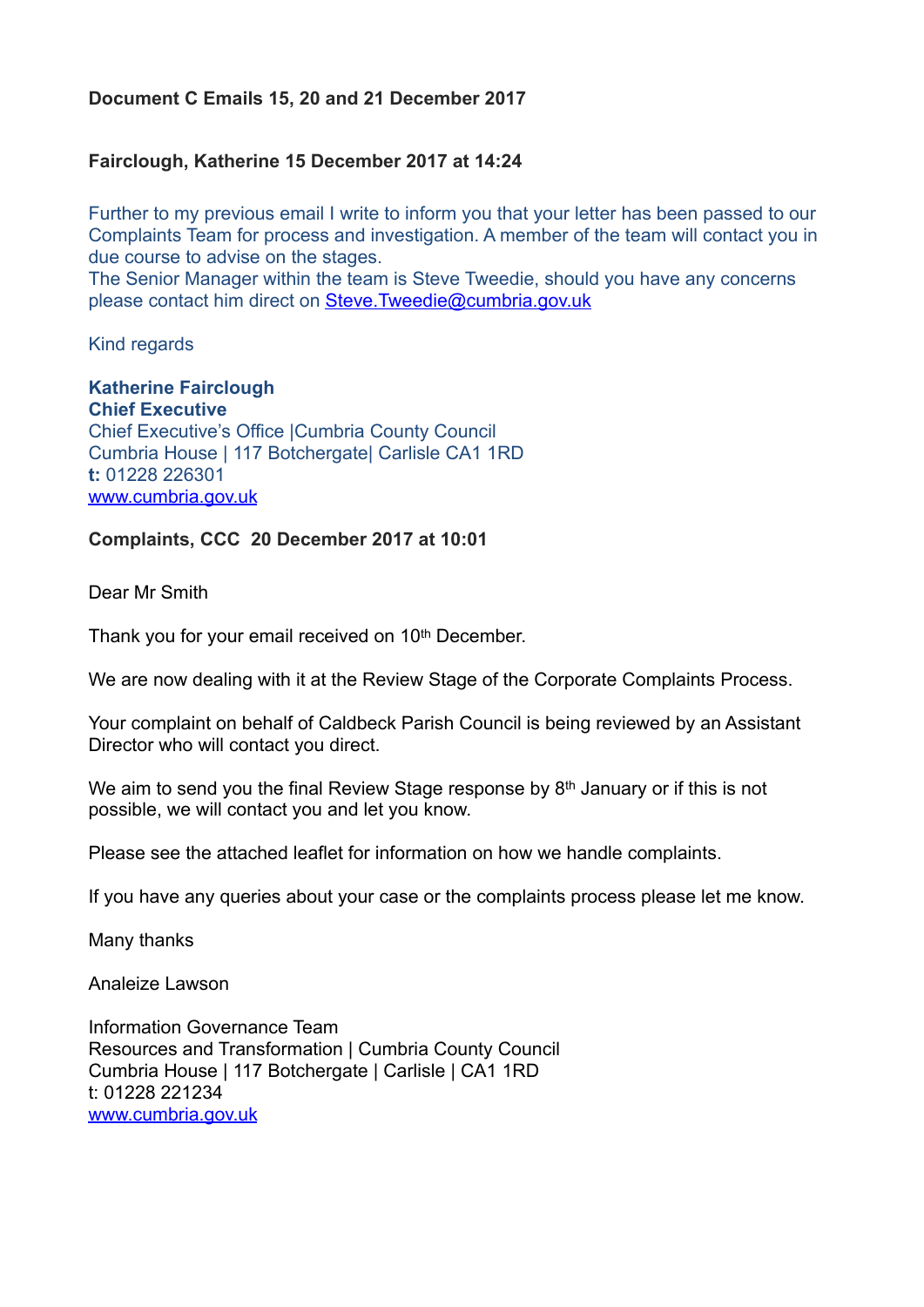## **Document C Emails 15, 20 and 21 December 2017**

## **Fairclough, Katherine 15 December 2017 at 14:24**

Further to my previous email I write to inform you that your letter has been passed to our Complaints Team for process and investigation. A member of the team will contact you in due course to advise on the stages.

The Senior Manager within the team is Steve Tweedie, should you have any concerns please contact him direct on [Steve.Tweedie@cumbria.gov.uk](mailto:Steve.Tweedie@cumbria.gov.uk)

Kind regards

**Katherine Fairclough Chief Executive** Chief Executive's Office |Cumbria County Council Cumbria House | 117 Botchergate| Carlisle CA1 1RD **t:** 01228 226301 [www.cumbria.gov.uk](http://www.cumbria.gov.uk/)

## **Complaints, CCC 20 December 2017 at 10:01**

Dear Mr Smith

Thank you for your email received on 10th December.

We are now dealing with it at the Review Stage of the Corporate Complaints Process.

Your complaint on behalf of Caldbeck Parish Council is being reviewed by an Assistant Director who will contact you direct.

We aim to send you the final Review Stage response by 8<sup>th</sup> January or if this is not possible, we will contact you and let you know.

Please see the attached leaflet for information on how we handle complaints.

If you have any queries about your case or the complaints process please let me know.

Many thanks

Analeize Lawson

Information Governance Team Resources and Transformation | Cumbria County Council Cumbria House | 117 Botchergate | Carlisle | CA1 1RD t: 01228 221234 [www.cumbria.gov.uk](http://www.cumbria.gov.uk/)